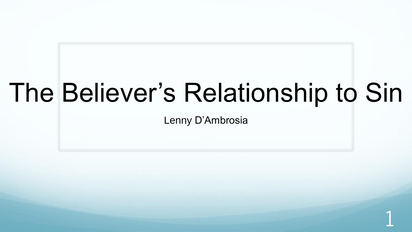# The Believer's Relationship to Sin

Lenny D'Ambrosia

1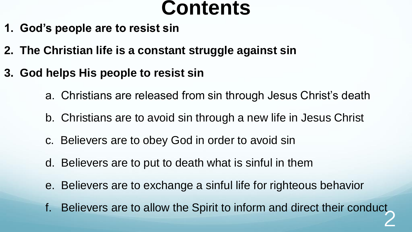#### **Contents**

- **1. God's people are to resist sin**
- **2. The Christian life is a constant struggle against sin**
- **3. God helps His people to resist sin**
	- a. Christians are released from sin through Jesus Christ's death
	- b. Christians are to avoid sin through a new life in Jesus Christ
	- c. Believers are to obey God in order to avoid sin
	- d. Believers are to put to death what is sinful in them
	- e. Believers are to exchange a sinful life for righteous behavior
	- f. Believers are to allow the Spirit to inform and direct their conduct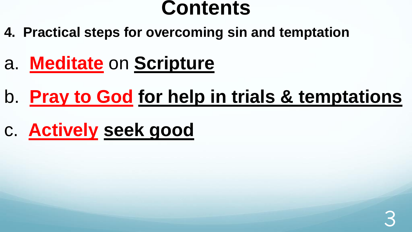#### **Contents**

- **4. Practical steps for overcoming sin and temptation**
- a. **Meditate** on **Scripture**
- b. **Pray to God for help in trials & temptations**
- c. **Actively seek good**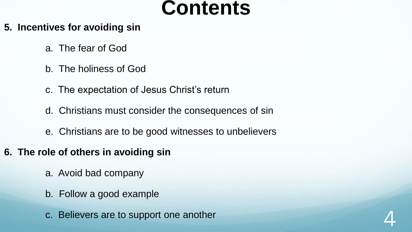#### **Contents**

- **5. Incentives for avoiding sin**
	- a. The fear of God
	- b. The holiness of God
	- c. The expectation of Jesus Christ's return
	- d. Christians must consider the consequences of sin
	- e. Christians are to be good witnesses to unbelievers
- **6. The role of others in avoiding sin**
	- a. Avoid bad company
	- b. Follow a good example
	- c. Believers are to support one another

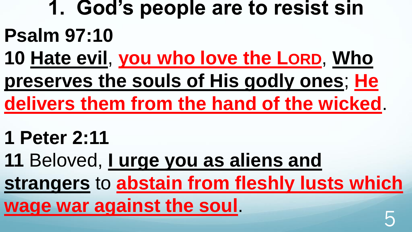- **1. God's people are to resist sin Psalm 97:10**
- **10 Hate evil**, **you who love the LORD**, **Who preserves the souls of His godly ones**; **He delivers them from the hand of the wicked**.
- **1 Peter 2:11**
- **11** Beloved, **I urge you as aliens and strangers** to **abstain from fleshly lusts which**  wage war against the soul.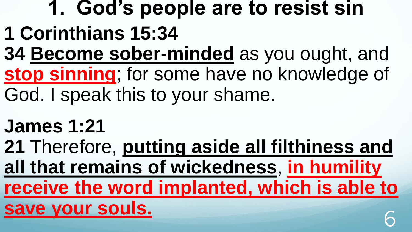## **1. God's people are to resist sin**

- **1 Corinthians 15:34**
- **34 Become sober-minded** as you ought, and **stop sinning**; for some have no knowledge of God. I speak this to your shame.
- **James 1:21**
- **21** Therefore, **putting aside all filthiness and all that remains of wickedness**, **in humility receive the word implanted, which is able to save your souls.** 6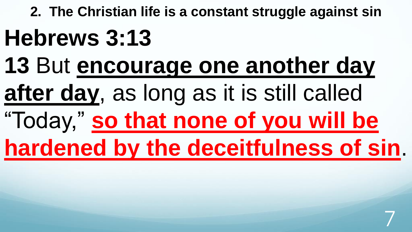**2. The Christian life is a constant struggle against sin Hebrews 3:13 13** But **encourage one another day after day**, as long as it is still called "Today," **so that none of you will be hardened by the deceitfulness of sin**.

7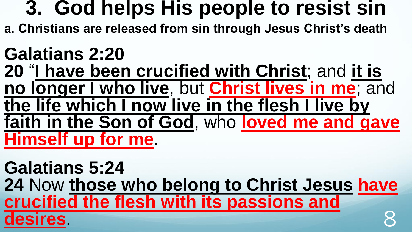**a. Christians are released from sin through Jesus Christ's death** 

#### **Galatians 2:20 20** "**I have been crucified with Christ**; and **it is no longer I who live**, but **Christ lives in me**; and **the life which I now live in the flesh I live by faith in the Son of God**, who **loved me and gave Himself up for me**.

**Galatians 5:24 24** Now **those who belong to Christ Jesus have crucified the flesh with its passions and desires** 8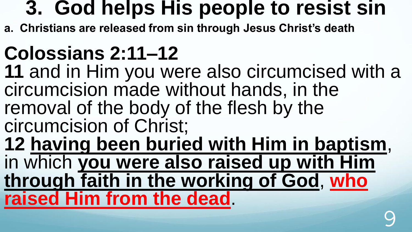**a. Christians are released from sin through Jesus Christ's death** 

## **Colossians 2:11–12**

**11** and in Him you were also circumcised with a circumcision made without hands, in the removal of the body of the flesh by the circumcision of Christ;

**12 having been buried with Him in baptism**, in which **you were also raised up with Him through faith in the working of God**, **who raised Him from the dead**.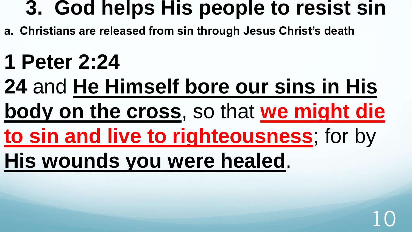- **a. Christians are released from sin through Jesus Christ's death**
- **1 Peter 2:24**
- **24** and **He Himself bore our sins in His**
- **body on the cross**, so that **we might die**
- **to sin and live to righteousness**; for by
- **His wounds you were healed**.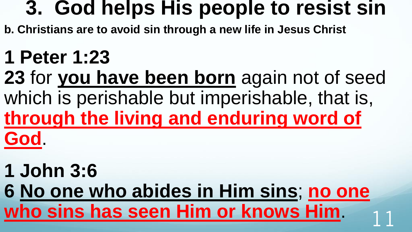**b. Christians are to avoid sin through a new life in Jesus Christ**

### **1 Peter 1:23**

**23** for **you have been born** again not of seed which is perishable but imperishable, that is, **through the living and enduring word of God**.

### **1 John 3:6**

**6 No one who abides in Him sins**; **no one**  who sins has seen Him or knows Him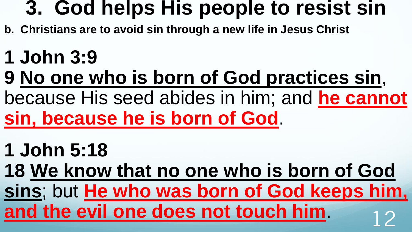- **b. Christians are to avoid sin through a new life in Jesus Christ**
- **1 John 3:9**
- **9 No one who is born of God practices sin**,
- because His seed abides in him; and **he cannot sin, because he is born of God**.
- **1 John 5:18**
- **18 We know that no one who is born of God**

**sins**; but **He who was born of God keeps him,**  and the evil one does not touch him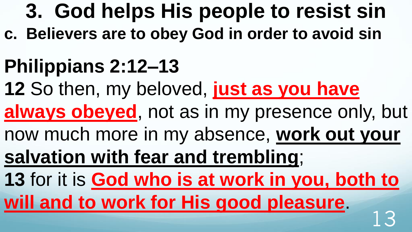**c. Believers are to obey God in order to avoid sin**

## **Philippians 2:12–13**

- **12** So then, my beloved, **just as you have**
- always obeyed, not as in my presence only, but
- now much more in my absence, **work out your**
- **salvation with fear and trembling**;

**13** for it is **God who is at work in you, both to will and to work for His good pleasure**. 13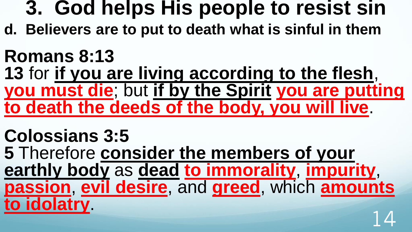**d. Believers are to put to death what is sinful in them**

#### **Romans 8:13 13** for **if you are living according to the flesh**, **you must die**; but **if by the Spirit you are putting to death the deeds of the body, you will live**.

**Colossians 3:5 5** Therefore **consider the members of your earthly body** as **dead to immorality**, **impurity**, **passion**, **evil desire**, and **greed**, which **amounts to idolatry**. 14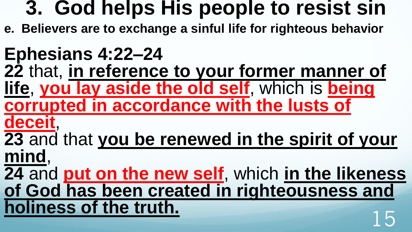**e. Believers are to exchange a sinful life for righteous behavior**

### **Ephesians 4:22–24**

**22** that, **in reference to your former manner of life**, **you lay aside the old self**, which is **being corrupted in accordance with the lusts of** 

**deceit**,

**23** and that **you be renewed in the spirit of your mind**,

**24** and **put on the new self**, which **in the likeness of God has been created in righteousness and holiness of the truth.**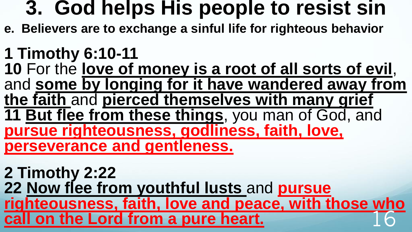- **e. Believers are to exchange a sinful life for righteous behavior**
- **1 Timothy 6:10-11**  10 For the love of money is a root of all sorts of evil, and **some by longing for it have wandered away from the faith** and **pierced themselves with many grief 11 But flee from these things**, you man of God, and **pursue righteousness, godliness, faith, love, perseverance and gentleness.**

**2 Timothy 2:22 22 Now flee from youthful lusts** and **pursue righteousness, faith, love and peace, with those who call on the Lord from a pure heart.**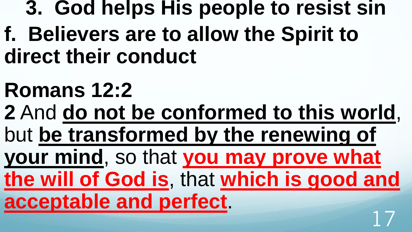**f. Believers are to allow the Spirit to direct their conduct**

# **Romans 12:2**

**2** And **do not be conformed to this world**, but **be transformed by the renewing of your mind**, so that **you may prove what the will of God is**, that **which is good and acceptable and perfect**. 17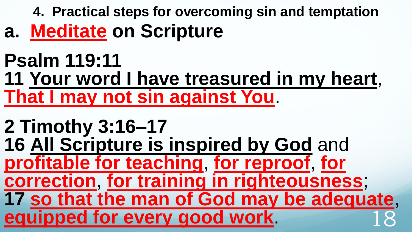**4. Practical steps for overcoming sin and temptation a. Meditate on Scripture**

#### **Psalm 119:11 11 Your word I have treasured in my heart**, **That I may not sin against You**.

```
2 Timothy 3:16–17 
16 All Scripture is inspired by God and 
profitable for teaching, for reproof, for 
correction, for training in righteousness; 
17 so that the man of God may be adequate, 
equipped for every good work.
```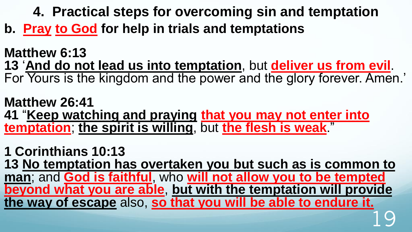**4. Practical steps for overcoming sin and temptation** 

**b. Pray to God for help in trials and temptations**

**Matthew 6:13 13** '**And do not lead us into temptation**, but **deliver us from evil**. For Yours is the kingdom and the power and the glory forever. Amen.'

**Matthew 26:41 41** "**Keep watching and praying that you may not enter into temptation**; **the spirit is willing**, but **the flesh is weak**."

**1 Corinthians 10:13 13 No temptation has overtaken you but such as is common to man**; and **God is faithful**, who **will not allow you to be tempted beyond what you are able**, **but with the temptation will provide the way of escape** also, **so that you will be able to endure it.** 19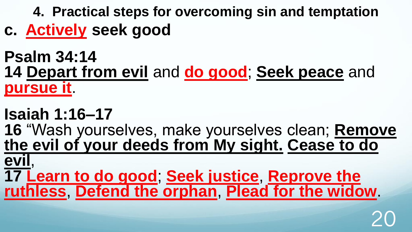**4. Practical steps for overcoming sin and temptation** 

- **c. Actively seek good**
- **Psalm 34:14 14 Depart from evil** and **do good**; **Seek peace** and **pursue it**.
- **Isaiah 1:16–17**
- **16** "Wash yourselves, make yourselves clean; **Remove the evil of your deeds from My sight. Cease to do**
- **evil**, **17 Learn to do good**; **Seek justice**, **Reprove the ruthless**, **Defend the orphan**, **Plead for the widow**.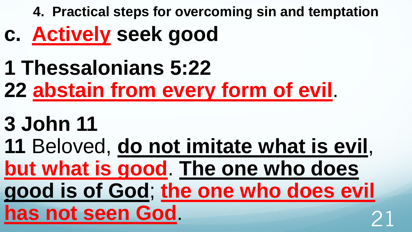**4. Practical steps for overcoming sin and temptation** 

- **c. Actively seek good**
- **1 Thessalonians 5:22**
- **22 abstain from every form of evil**.
- **3 John 11**
- **11** Beloved, **do not imitate what is evil**, **but what is good**. **The one who does good is of God**; **the one who does evil has not seen God.**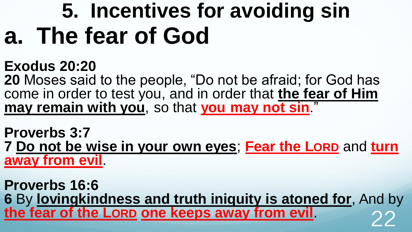# **5. Incentives for avoiding sin a. The fear of God**

#### **Exodus 20:20**

**20** Moses said to the people, "Do not be afraid; for God has come in order to test you, and in order that **the fear of Him**  may remain with you, so that you may not sin."

**Proverbs 3:7 7 Do not be wise in your own eyes**; **Fear the LORD** and **turn away from evil**.

**Proverbs 16:6 6** By **lovingkindness and truth iniquity is atoned for**, And by **the fear of the LORD one keeps away from evil**. 22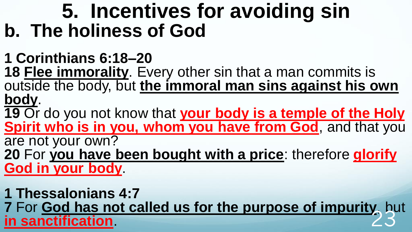### **5. Incentives for avoiding sin b. The holiness of God**

**1 Corinthians 6:18–20** 

**18 Flee immorality**. Every other sin that a man commits is outside the body, but **the immoral man sins against his own body**.

**19** Or do you not know that **your body is a temple of the Holy Spirit who is in you, whom you have from God**, and that you are not your own?

**20** For **you have been bought with a price**: therefore **glorify God in your body**.

**1 Thessalonians 4:7 7** For **God has not called us for the purpose of impurity**, but **in sanctification**. 23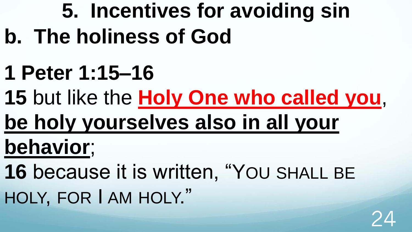# **5. Incentives for avoiding sin b. The holiness of God**

- **1 Peter 1:15–16**
- **15** but like the **Holy One who called you**,
- **be holy yourselves also in all your**
- **behavior**;
- **16** because it is written, "YOU SHALL BE HOLY, FOR I AM HOLY."

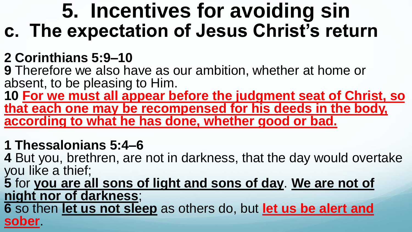### **5. Incentives for avoiding sin c. The expectation of Jesus Christ's return**

#### **2 Corinthians 5:9–10**

**9** Therefore we also have as our ambition, whether at home or absent, to be pleasing to Him.

**10 For we must all appear before the judgment seat of Christ, so that each one may be recompensed for his deeds in the body, according to what he has done, whether good or bad.** 

#### **1 Thessalonians 5:4–6**

**4** But you, brethren, are not in darkness, that the day would overtake you like a thief;

**5** for **you are all sons of light and sons of day**. **We are not of night nor of darkness**;

**6** so then **let us not sleep** as others do, but **let us be alert and sober**.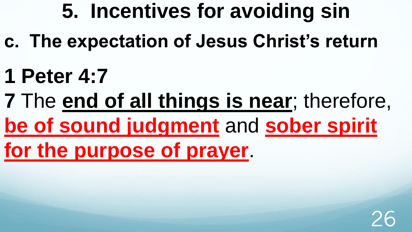- **c. The expectation of Jesus Christ's return**
- **1 Peter 4:7**
- **7** The **end of all things is near**; therefore, **be of sound judgment** and **sober spirit**
- **for the purpose of prayer**.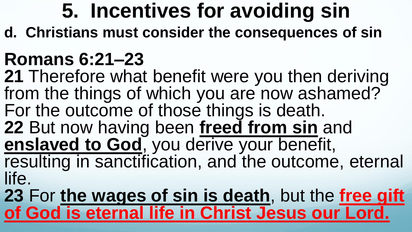**d. Christians must consider the consequences of sin**

## **Romans 6:21–23**

**21** Therefore what benefit were you then deriving from the things of which you are now ashamed? For the outcome of those things is death. **22** But now having been **freed from sin** and **enslaved to God**, you derive your benefit, resulting in sanctification, and the outcome, eternal life.

**23** For **the wages of sin is death**, but the **free gift of God is eternal life in Christ Jesus our Lord.**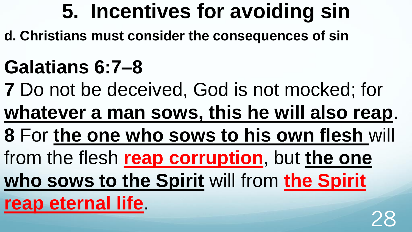**d. Christians must consider the consequences of sin**

## **Galatians 6:7–8**

**7** Do not be deceived, God is not mocked; for

**whatever a man sows, this he will also reap**.

**8** For **the one who sows to his own flesh** will

from the flesh **reap corruption**, but **the one** 

**who sows to the Spirit** will from **the Spirit** 

**reap eternal life**.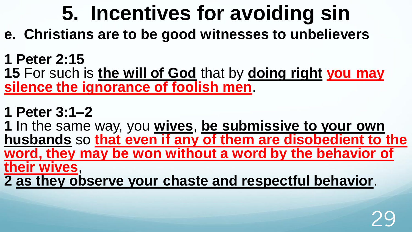- **e. Christians are to be good witnesses to unbelievers**
- **1 Peter 2:15**

**15** For such is **the will of God** that by **doing right you may silence the ignorance of foolish men**.

**1 Peter 3:1–2** 

**1** In the same way, you **wives**, **be submissive to your own husbands** so **that even if any of them are disobedient to the word, they may be won without a word by the behavior of their wives**,

**2 as they observe your chaste and respectful behavior**.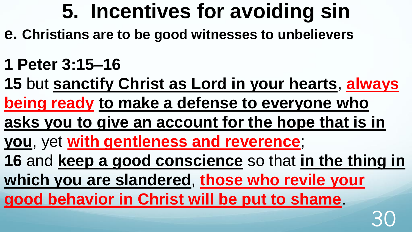- **e. Christians are to be good witnesses to unbelievers**
- **1 Peter 3:15–16**
- **15** but **sanctify Christ as Lord in your hearts**, **always being ready to make a defense to everyone who asks you to give an account for the hope that is in you**, yet **with gentleness and reverence**; **16** and **keep a good conscience** so that **in the thing in which you are slandered**, **those who revile your good behavior in Christ will be put to shame**. 30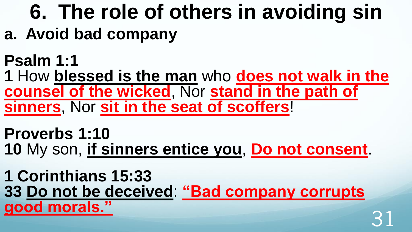# **6. The role of others in avoiding sin**

- **a. Avoid bad company**
- **Psalm 1:1**

**1** How **blessed is the man** who **does not walk in the counsel of the wicked**, Nor **stand in the path of sinners**, Nor **sit in the seat of scoffers**!

**Proverbs 1:10 10** My son, **if sinners entice you**, **Do not consent**.

**1 Corinthians 15:33 33 Do not be deceived**: **"Bad company corrupts good morals."** 31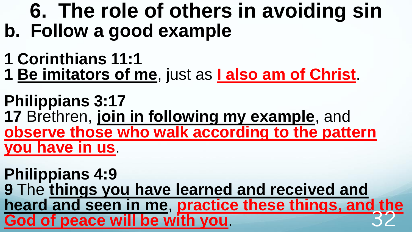### **6. The role of others in avoiding sin b. Follow a good example**

- **1 Corinthians 11:1**
- **1 Be imitators of me**, just as **I also am of Christ**.

**Philippians 3:17 17** Brethren, **join in following my example**, and **observe those who walk according to the pattern you have in us**.

**Philippians 4:9 9** The **things you have learned and received and heard and seen in me**, **practice these things, and the God of peace will be with you.**